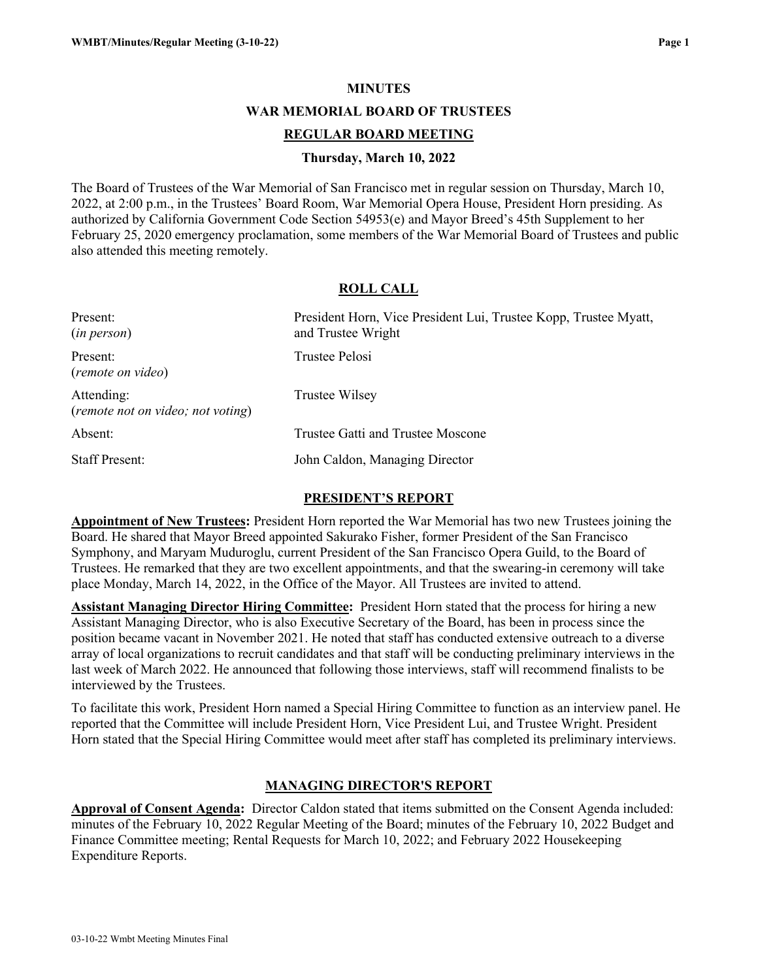### **MINUTES**

**WAR MEMORIAL BOARD OF TRUSTEES**

### **REGULAR BOARD MEETING**

### **Thursday, March 10, 2022**

The Board of Trustees of the War Memorial of San Francisco met in regular session on Thursday, March 10, 2022, at 2:00 p.m., in the Trustees' Board Room, War Memorial Opera House, President Horn presiding. As authorized by California Government Code Section 54953(e) and Mayor Breed's 45th Supplement to her February 25, 2020 emergency proclamation, some members of the War Memorial Board of Trustees and public also attended this meeting remotely.

## **ROLL CALL**

| Present:<br>(in person)                         | President Horn, Vice President Lui, Trustee Kopp, Trustee Myatt,<br>and Trustee Wright |
|-------------------------------------------------|----------------------------------------------------------------------------------------|
| Present:<br>(remote on video)                   | Trustee Pelosi                                                                         |
| Attending:<br>(remote not on video; not voting) | Trustee Wilsey                                                                         |
| Absent:                                         | Trustee Gatti and Trustee Moscone                                                      |
| <b>Staff Present:</b>                           | John Caldon, Managing Director                                                         |

### **PRESIDENT'S REPORT**

**Appointment of New Trustees:** President Horn reported the War Memorial has two new Trustees joining the Board. He shared that Mayor Breed appointed Sakurako Fisher, former President of the San Francisco Symphony, and Maryam Muduroglu, current President of the San Francisco Opera Guild, to the Board of Trustees. He remarked that they are two excellent appointments, and that the swearing-in ceremony will take place Monday, March 14, 2022, in the Office of the Mayor. All Trustees are invited to attend.

**Assistant Managing Director Hiring Committee:** President Horn stated that the process for hiring a new Assistant Managing Director, who is also Executive Secretary of the Board, has been in process since the position became vacant in November 2021. He noted that staff has conducted extensive outreach to a diverse array of local organizations to recruit candidates and that staff will be conducting preliminary interviews in the last week of March 2022. He announced that following those interviews, staff will recommend finalists to be interviewed by the Trustees.

To facilitate this work, President Horn named a Special Hiring Committee to function as an interview panel. He reported that the Committee will include President Horn, Vice President Lui, and Trustee Wright. President Horn stated that the Special Hiring Committee would meet after staff has completed its preliminary interviews.

## **MANAGING DIRECTOR'S REPORT**

**Approval of Consent Agenda:** Director Caldon stated that items submitted on the Consent Agenda included: minutes of the February 10, 2022 Regular Meeting of the Board; minutes of the February 10, 2022 Budget and Finance Committee meeting; Rental Requests for March 10, 2022; and February 2022 Housekeeping Expenditure Reports.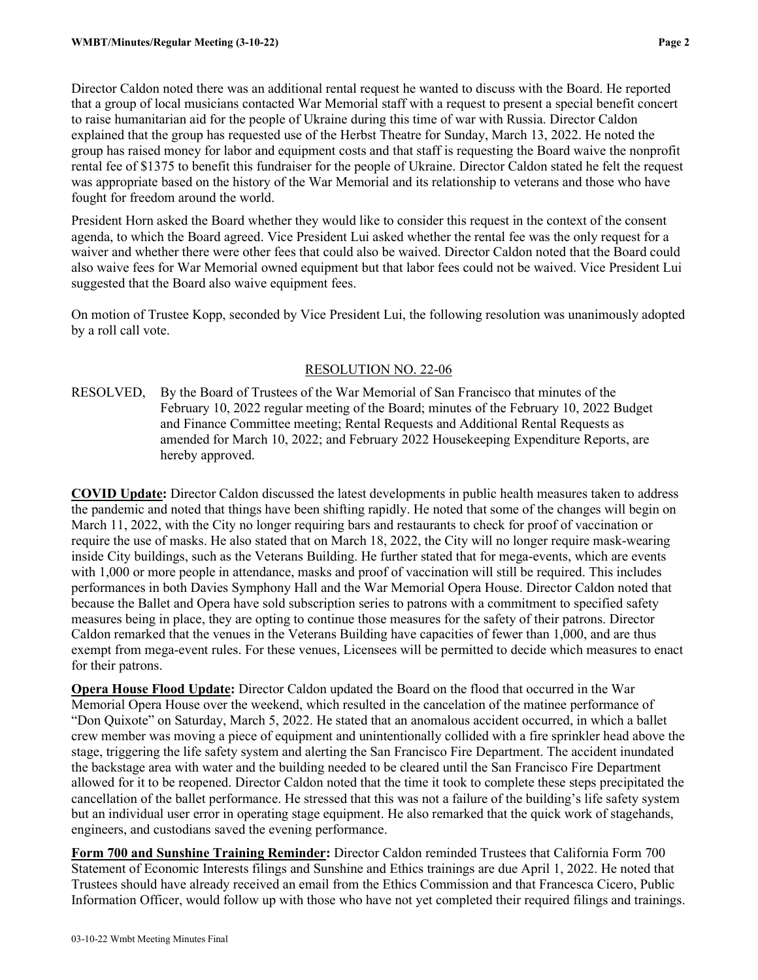Director Caldon noted there was an additional rental request he wanted to discuss with the Board. He reported that a group of local musicians contacted War Memorial staff with a request to present a special benefit concert to raise humanitarian aid for the people of Ukraine during this time of war with Russia. Director Caldon explained that the group has requested use of the Herbst Theatre for Sunday, March 13, 2022. He noted the group has raised money for labor and equipment costs and that staff is requesting the Board waive the nonprofit rental fee of \$1375 to benefit this fundraiser for the people of Ukraine. Director Caldon stated he felt the request was appropriate based on the history of the War Memorial and its relationship to veterans and those who have fought for freedom around the world.

President Horn asked the Board whether they would like to consider this request in the context of the consent agenda, to which the Board agreed. Vice President Lui asked whether the rental fee was the only request for a waiver and whether there were other fees that could also be waived. Director Caldon noted that the Board could also waive fees for War Memorial owned equipment but that labor fees could not be waived. Vice President Lui suggested that the Board also waive equipment fees.

On motion of Trustee Kopp, seconded by Vice President Lui, the following resolution was unanimously adopted by a roll call vote.

## RESOLUTION NO. 22-06

RESOLVED, By the Board of Trustees of the War Memorial of San Francisco that minutes of the February 10, 2022 regular meeting of the Board; minutes of the February 10, 2022 Budget and Finance Committee meeting; Rental Requests and Additional Rental Requests as amended for March 10, 2022; and February 2022 Housekeeping Expenditure Reports, are hereby approved.

**COVID Update:** Director Caldon discussed the latest developments in public health measures taken to address the pandemic and noted that things have been shifting rapidly. He noted that some of the changes will begin on March 11, 2022, with the City no longer requiring bars and restaurants to check for proof of vaccination or require the use of masks. He also stated that on March 18, 2022, the City will no longer require mask-wearing inside City buildings, such as the Veterans Building. He further stated that for mega-events, which are events with 1,000 or more people in attendance, masks and proof of vaccination will still be required. This includes performances in both Davies Symphony Hall and the War Memorial Opera House. Director Caldon noted that because the Ballet and Opera have sold subscription series to patrons with a commitment to specified safety measures being in place, they are opting to continue those measures for the safety of their patrons. Director Caldon remarked that the venues in the Veterans Building have capacities of fewer than 1,000, and are thus exempt from mega-event rules. For these venues, Licensees will be permitted to decide which measures to enact for their patrons.

**Opera House Flood Update:** Director Caldon updated the Board on the flood that occurred in the War Memorial Opera House over the weekend, which resulted in the cancelation of the matinee performance of "Don Quixote" on Saturday, March 5, 2022. He stated that an anomalous accident occurred, in which a ballet crew member was moving a piece of equipment and unintentionally collided with a fire sprinkler head above the stage, triggering the life safety system and alerting the San Francisco Fire Department. The accident inundated the backstage area with water and the building needed to be cleared until the San Francisco Fire Department allowed for it to be reopened. Director Caldon noted that the time it took to complete these steps precipitated the cancellation of the ballet performance. He stressed that this was not a failure of the building's life safety system but an individual user error in operating stage equipment. He also remarked that the quick work of stagehands, engineers, and custodians saved the evening performance.

**Form 700 and Sunshine Training Reminder:** Director Caldon reminded Trustees that California Form 700 Statement of Economic Interests filings and Sunshine and Ethics trainings are due April 1, 2022. He noted that Trustees should have already received an email from the Ethics Commission and that Francesca Cicero, Public Information Officer, would follow up with those who have not yet completed their required filings and trainings.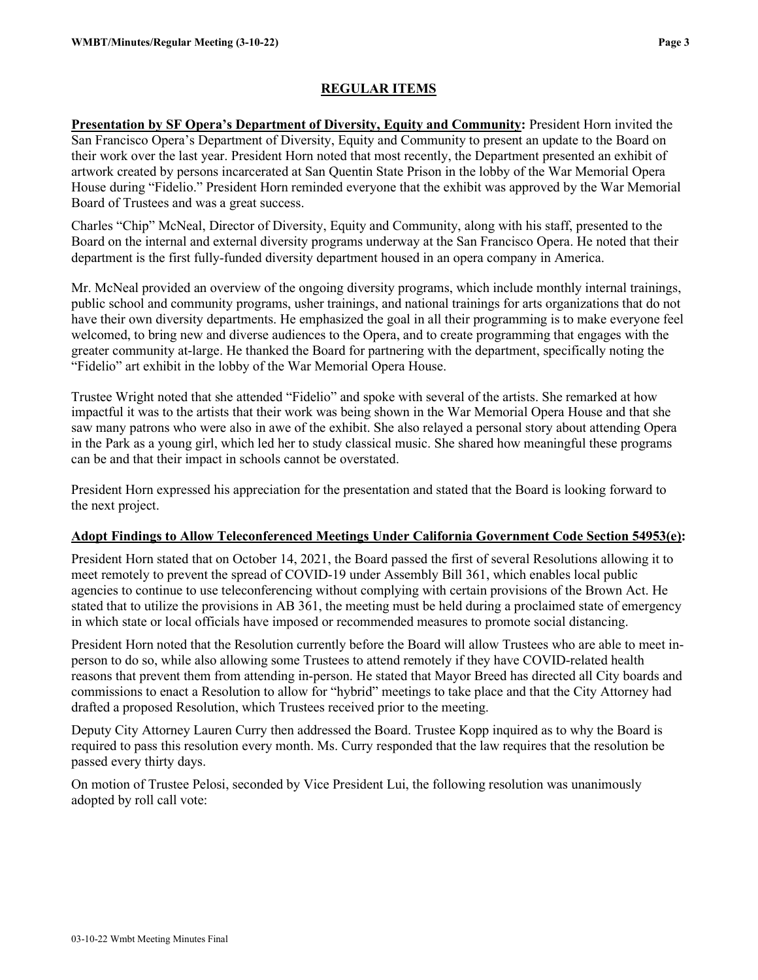# **REGULAR ITEMS**

**Presentation by SF Opera's Department of Diversity, Equity and Community:** President Horn invited the San Francisco Opera's Department of Diversity, Equity and Community to present an update to the Board on their work over the last year. President Horn noted that most recently, the Department presented an exhibit of artwork created by persons incarcerated at San Quentin State Prison in the lobby of the War Memorial Opera House during "Fidelio." President Horn reminded everyone that the exhibit was approved by the War Memorial Board of Trustees and was a great success.

Charles "Chip" McNeal, Director of Diversity, Equity and Community, along with his staff, presented to the Board on the internal and external diversity programs underway at the San Francisco Opera. He noted that their department is the first fully-funded diversity department housed in an opera company in America.

Mr. McNeal provided an overview of the ongoing diversity programs, which include monthly internal trainings, public school and community programs, usher trainings, and national trainings for arts organizations that do not have their own diversity departments. He emphasized the goal in all their programming is to make everyone feel welcomed, to bring new and diverse audiences to the Opera, and to create programming that engages with the greater community at-large. He thanked the Board for partnering with the department, specifically noting the "Fidelio" art exhibit in the lobby of the War Memorial Opera House.

Trustee Wright noted that she attended "Fidelio" and spoke with several of the artists. She remarked at how impactful it was to the artists that their work was being shown in the War Memorial Opera House and that she saw many patrons who were also in awe of the exhibit. She also relayed a personal story about attending Opera in the Park as a young girl, which led her to study classical music. She shared how meaningful these programs can be and that their impact in schools cannot be overstated.

President Horn expressed his appreciation for the presentation and stated that the Board is looking forward to the next project.

## **Adopt Findings to Allow Teleconferenced Meetings Under California Government Code Section 54953(e):**

President Horn stated that on October 14, 2021, the Board passed the first of several Resolutions allowing it to meet remotely to prevent the spread of COVID-19 under Assembly Bill 361, which enables local public agencies to continue to use teleconferencing without complying with certain provisions of the Brown Act. He stated that to utilize the provisions in AB 361, the meeting must be held during a proclaimed state of emergency in which state or local officials have imposed or recommended measures to promote social distancing.

President Horn noted that the Resolution currently before the Board will allow Trustees who are able to meet inperson to do so, while also allowing some Trustees to attend remotely if they have COVID-related health reasons that prevent them from attending in-person. He stated that Mayor Breed has directed all City boards and commissions to enact a Resolution to allow for "hybrid" meetings to take place and that the City Attorney had drafted a proposed Resolution, which Trustees received prior to the meeting.

Deputy City Attorney Lauren Curry then addressed the Board. Trustee Kopp inquired as to why the Board is required to pass this resolution every month. Ms. Curry responded that the law requires that the resolution be passed every thirty days.

On motion of Trustee Pelosi, seconded by Vice President Lui, the following resolution was unanimously adopted by roll call vote: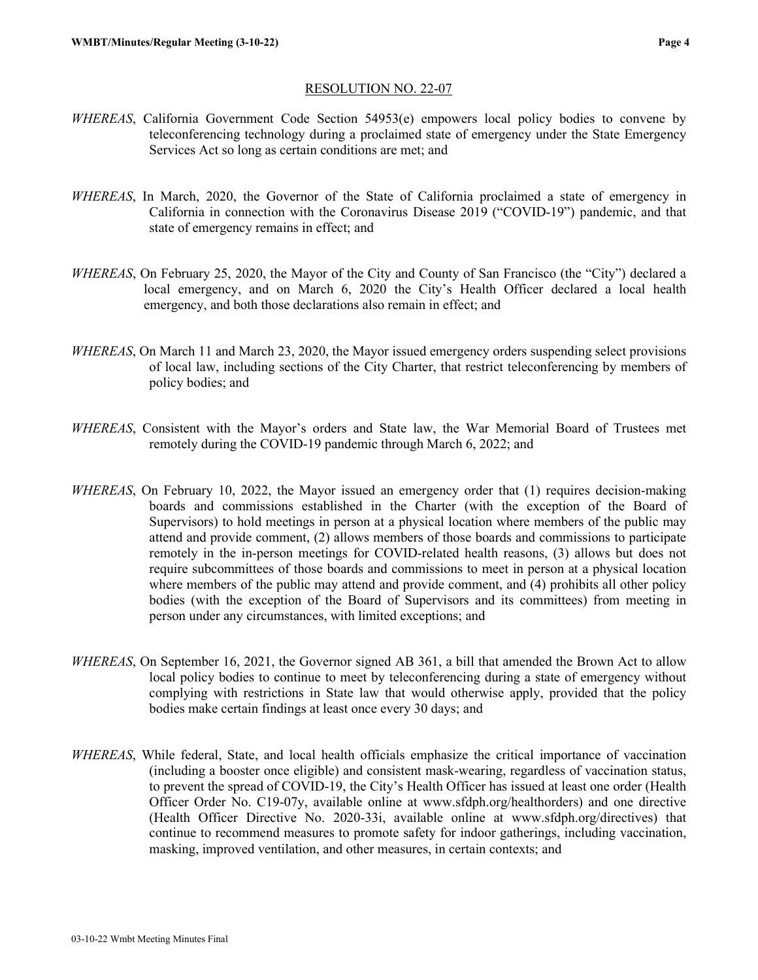## RESOLUTION NO. 22-07

- *WHEREAS*, California Government Code Section 54953(e) empowers local policy bodies to convene by teleconferencing technology during a proclaimed state of emergency under the State Emergency Services Act so long as certain conditions are met; and
- *WHEREAS*, In March, 2020, the Governor of the State of California proclaimed a state of emergency in California in connection with the Coronavirus Disease 2019 ("COVID-19") pandemic, and that state of emergency remains in effect; and
- *WHEREAS*, On February 25, 2020, the Mayor of the City and County of San Francisco (the "City") declared a local emergency, and on March 6, 2020 the City's Health Officer declared a local health emergency, and both those declarations also remain in effect; and
- *WHEREAS*, On March 11 and March 23, 2020, the Mayor issued emergency orders suspending select provisions of local law, including sections of the City Charter, that restrict teleconferencing by members of policy bodies; and
- *WHEREAS*, Consistent with the Mayor's orders and State law, the War Memorial Board of Trustees met remotely during the COVID-19 pandemic through March 6, 2022; and
- *WHEREAS*, On February 10, 2022, the Mayor issued an emergency order that (1) requires decision-making boards and commissions established in the Charter (with the exception of the Board of Supervisors) to hold meetings in person at a physical location where members of the public may attend and provide comment, (2) allows members of those boards and commissions to participate remotely in the in-person meetings for COVID-related health reasons, (3) allows but does not require subcommittees of those boards and commissions to meet in person at a physical location where members of the public may attend and provide comment, and (4) prohibits all other policy bodies (with the exception of the Board of Supervisors and its committees) from meeting in person under any circumstances, with limited exceptions; and
- *WHEREAS*, On September 16, 2021, the Governor signed AB 361, a bill that amended the Brown Act to allow local policy bodies to continue to meet by teleconferencing during a state of emergency without complying with restrictions in State law that would otherwise apply, provided that the policy bodies make certain findings at least once every 30 days; and
- *WHEREAS*, While federal, State, and local health officials emphasize the critical importance of vaccination (including a booster once eligible) and consistent mask-wearing, regardless of vaccination status, to prevent the spread of COVID-19, the City's Health Officer has issued at least one order (Health Officer Order No. C19-07y, available online at www.sfdph.org/healthorders) and one directive (Health Officer Directive No. 2020-33i, available online at www.sfdph.org/directives) that continue to recommend measures to promote safety for indoor gatherings, including vaccination, masking, improved ventilation, and other measures, in certain contexts; and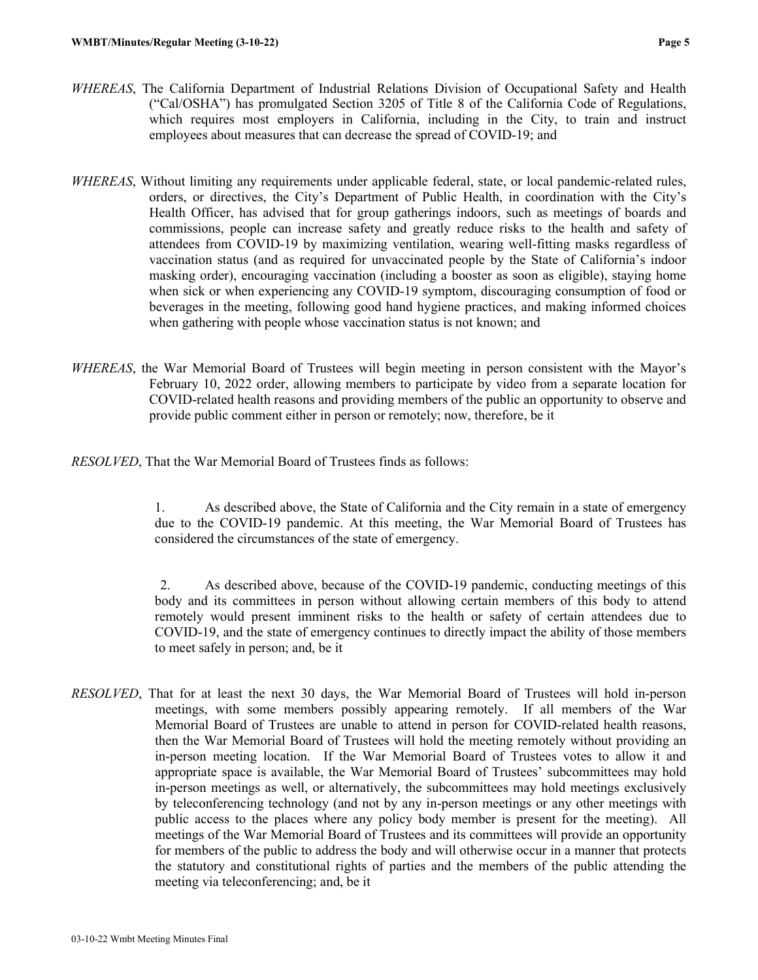- *WHEREAS*, The California Department of Industrial Relations Division of Occupational Safety and Health ("Cal/OSHA") has promulgated Section 3205 of Title 8 of the California Code of Regulations, which requires most employers in California, including in the City, to train and instruct employees about measures that can decrease the spread of COVID-19; and
- *WHEREAS*, Without limiting any requirements under applicable federal, state, or local pandemic-related rules, orders, or directives, the City's Department of Public Health, in coordination with the City's Health Officer, has advised that for group gatherings indoors, such as meetings of boards and commissions, people can increase safety and greatly reduce risks to the health and safety of attendees from COVID-19 by maximizing ventilation, wearing well-fitting masks regardless of vaccination status (and as required for unvaccinated people by the State of California's indoor masking order), encouraging vaccination (including a booster as soon as eligible), staying home when sick or when experiencing any COVID-19 symptom, discouraging consumption of food or beverages in the meeting, following good hand hygiene practices, and making informed choices when gathering with people whose vaccination status is not known; and
- *WHEREAS*, the War Memorial Board of Trustees will begin meeting in person consistent with the Mayor's February 10, 2022 order, allowing members to participate by video from a separate location for COVID-related health reasons and providing members of the public an opportunity to observe and provide public comment either in person or remotely; now, therefore, be it
- *RESOLVED*, That the War Memorial Board of Trustees finds as follows:

1. As described above, the State of California and the City remain in a state of emergency due to the COVID-19 pandemic. At this meeting, the War Memorial Board of Trustees has considered the circumstances of the state of emergency.

2. As described above, because of the COVID-19 pandemic, conducting meetings of this body and its committees in person without allowing certain members of this body to attend remotely would present imminent risks to the health or safety of certain attendees due to COVID-19, and the state of emergency continues to directly impact the ability of those members to meet safely in person; and, be it

*RESOLVED*, That for at least the next 30 days, the War Memorial Board of Trustees will hold in-person meetings, with some members possibly appearing remotely. If all members of the War Memorial Board of Trustees are unable to attend in person for COVID-related health reasons, then the War Memorial Board of Trustees will hold the meeting remotely without providing an in-person meeting location. If the War Memorial Board of Trustees votes to allow it and appropriate space is available, the War Memorial Board of Trustees' subcommittees may hold in-person meetings as well, or alternatively, the subcommittees may hold meetings exclusively by teleconferencing technology (and not by any in-person meetings or any other meetings with public access to the places where any policy body member is present for the meeting). All meetings of the War Memorial Board of Trustees and its committees will provide an opportunity for members of the public to address the body and will otherwise occur in a manner that protects the statutory and constitutional rights of parties and the members of the public attending the meeting via teleconferencing; and, be it